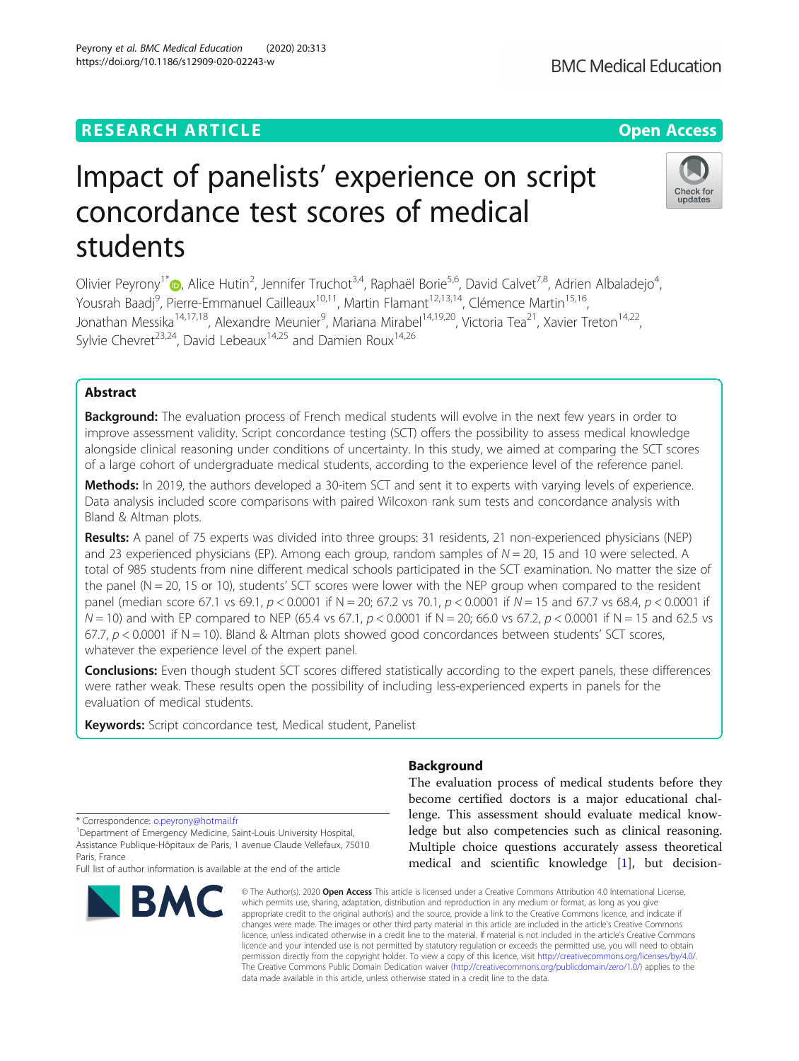# **RESEARCH ARTICLE Example 2014 12:30 The Contract of Contract ACCESS**

# Impact of panelists' experience on script concordance test scores of medical students

Olivier Peyrony<sup>1[\\*](https://orcid.org/0000-0001-6831-0054)</sup>®, Alice Hutin<sup>2</sup>, Jennifer Truchot<sup>3,4</sup>, Raphaël Borie<sup>5,6</sup>, David Calvet<sup>7,8</sup>, Adrien Albaladejo<sup>4</sup> , Yousrah Baadj<sup>9</sup>, Pierre-Emmanuel Cailleaux<sup>10,11</sup>, Martin Flamant<sup>12,13,14</sup>, Clémence Martin<sup>15,16</sup>, Jonathan Messika<sup>14,17,18</sup>, Alexandre Meunier<sup>9</sup>, Mariana Mirabel<sup>14,19,20</sup>, Victoria Tea<sup>21</sup>, Xavier Treton<sup>14,22</sup>, Sylvie Chevret<sup>23,24</sup>, David Lebeaux<sup>14,25</sup> and Damien Roux<sup>14,26</sup>

# Abstract

Background: The evaluation process of French medical students will evolve in the next few years in order to improve assessment validity. Script concordance testing (SCT) offers the possibility to assess medical knowledge alongside clinical reasoning under conditions of uncertainty. In this study, we aimed at comparing the SCT scores of a large cohort of undergraduate medical students, according to the experience level of the reference panel.

Methods: In 2019, the authors developed a 30-item SCT and sent it to experts with varying levels of experience. Data analysis included score comparisons with paired Wilcoxon rank sum tests and concordance analysis with Bland & Altman plots.

Results: A panel of 75 experts was divided into three groups: 31 residents, 21 non-experienced physicians (NEP) and 23 experienced physicians (EP). Among each group, random samples of  $N = 20$ , 15 and 10 were selected. A total of 985 students from nine different medical schools participated in the SCT examination. No matter the size of the panel ( $N = 20$ , 15 or 10), students' SCT scores were lower with the NEP group when compared to the resident panel (median score 67.1 vs 69.1,  $p < 0.0001$  if N = 20; 67.2 vs 70.1,  $p < 0.0001$  if N = 15 and 67.7 vs 68.4,  $p < 0.0001$  if  $N = 10$ ) and with EP compared to NEP (65.4 vs 67.1,  $p < 0.0001$  if N = 20; 66.0 vs 67.2,  $p < 0.0001$  if N = 15 and 62.5 vs 67.7,  $p < 0.0001$  if N = 10). Bland & Altman plots showed good concordances between students' SCT scores, whatever the experience level of the expert panel.

**Conclusions:** Even though student SCT scores differed statistically according to the expert panels, these differences were rather weak. These results open the possibility of including less-experienced experts in panels for the evaluation of medical students.

Keywords: Script concordance test, Medical student, Panelist

# Background

The evaluation process of medical students before they become certified doctors is a major educational challenge. This assessment should evaluate medical knowledge but also competencies such as clinical reasoning. Multiple choice questions accurately assess theoretical medical and scientific knowledge [\[1](#page-7-0)], but decision-

© The Author(s), 2020 **Open Access** This article is licensed under a Creative Commons Attribution 4.0 International License, which permits use, sharing, adaptation, distribution and reproduction in any medium or format, as long as you give appropriate credit to the original author(s) and the source, provide a link to the Creative Commons licence, and indicate if changes were made. The images or other third party material in this article are included in the article's Creative Commons licence, unless indicated otherwise in a credit line to the material. If material is not included in the article's Creative Commons licence and your intended use is not permitted by statutory regulation or exceeds the permitted use, you will need to obtain permission directly from the copyright holder. To view a copy of this licence, visit [http://creativecommons.org/licenses/by/4.0/.](http://creativecommons.org/licenses/by/4.0/) The Creative Commons Public Domain Dedication waiver [\(http://creativecommons.org/publicdomain/zero/1.0/](http://creativecommons.org/publicdomain/zero/1.0/)) applies to the data made available in this article, unless otherwise stated in a credit line to the data.

\* Correspondence: [o.peyrony@hotmail.fr](mailto:o.peyrony@hotmail.fr) <sup>1</sup>

Department of Emergency Medicine, Saint-Louis University Hospital, Assistance Publique-Hôpitaux de Paris, 1 avenue Claude Vellefaux, 75010 Paris, France

Full list of author information is available at the end of the article







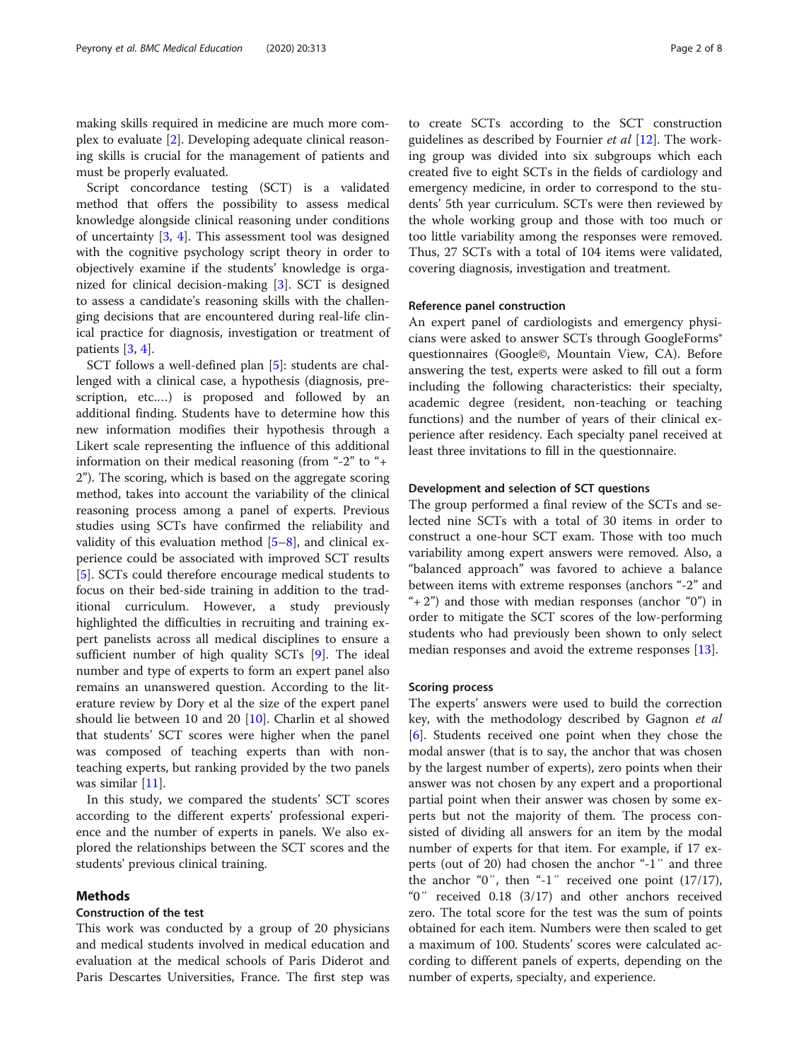making skills required in medicine are much more complex to evaluate [[2\]](#page-7-0). Developing adequate clinical reasoning skills is crucial for the management of patients and must be properly evaluated.

Script concordance testing (SCT) is a validated method that offers the possibility to assess medical knowledge alongside clinical reasoning under conditions of uncertainty [\[3](#page-7-0), [4](#page-7-0)]. This assessment tool was designed with the cognitive psychology script theory in order to objectively examine if the students' knowledge is organized for clinical decision-making [[3\]](#page-7-0). SCT is designed to assess a candidate's reasoning skills with the challenging decisions that are encountered during real-life clinical practice for diagnosis, investigation or treatment of patients [[3,](#page-7-0) [4\]](#page-7-0).

SCT follows a well-defined plan [\[5](#page-7-0)]: students are challenged with a clinical case, a hypothesis (diagnosis, prescription, etc.…) is proposed and followed by an additional finding. Students have to determine how this new information modifies their hypothesis through a Likert scale representing the influence of this additional information on their medical reasoning (from "-2" to "+ 2"). The scoring, which is based on the aggregate scoring method, takes into account the variability of the clinical reasoning process among a panel of experts. Previous studies using SCTs have confirmed the reliability and validity of this evaluation method  $[5-8]$  $[5-8]$  $[5-8]$  $[5-8]$ , and clinical experience could be associated with improved SCT results [[5\]](#page-7-0). SCTs could therefore encourage medical students to focus on their bed-side training in addition to the traditional curriculum. However, a study previously highlighted the difficulties in recruiting and training expert panelists across all medical disciplines to ensure a sufficient number of high quality SCTs [[9\]](#page-7-0). The ideal number and type of experts to form an expert panel also remains an unanswered question. According to the literature review by Dory et al the size of the expert panel should lie between 10 and 20 [[10\]](#page-7-0). Charlin et al showed that students' SCT scores were higher when the panel was composed of teaching experts than with nonteaching experts, but ranking provided by the two panels was similar [[11](#page-7-0)].

In this study, we compared the students' SCT scores according to the different experts' professional experience and the number of experts in panels. We also explored the relationships between the SCT scores and the students' previous clinical training.

#### Methods

#### Construction of the test

This work was conducted by a group of 20 physicians and medical students involved in medical education and evaluation at the medical schools of Paris Diderot and Paris Descartes Universities, France. The first step was to create SCTs according to the SCT construction guidelines as described by Fournier et al  $[12]$  $[12]$ . The working group was divided into six subgroups which each created five to eight SCTs in the fields of cardiology and emergency medicine, in order to correspond to the students' 5th year curriculum. SCTs were then reviewed by the whole working group and those with too much or too little variability among the responses were removed. Thus, 27 SCTs with a total of 104 items were validated, covering diagnosis, investigation and treatment.

#### Reference panel construction

An expert panel of cardiologists and emergency physicians were asked to answer SCTs through GoogleForms® questionnaires (Google©, Mountain View, CA). Before answering the test, experts were asked to fill out a form including the following characteristics: their specialty, academic degree (resident, non-teaching or teaching functions) and the number of years of their clinical experience after residency. Each specialty panel received at least three invitations to fill in the questionnaire.

# Development and selection of SCT questions

The group performed a final review of the SCTs and selected nine SCTs with a total of 30 items in order to construct a one-hour SCT exam. Those with too much variability among expert answers were removed. Also, a "balanced approach" was favored to achieve a balance between items with extreme responses (anchors "-2" and "+ 2") and those with median responses (anchor "0") in order to mitigate the SCT scores of the low-performing students who had previously been shown to only select median responses and avoid the extreme responses [\[13](#page-7-0)].

# Scoring process

The experts' answers were used to build the correction key, with the methodology described by Gagnon et al [[6\]](#page-7-0). Students received one point when they chose the modal answer (that is to say, the anchor that was chosen by the largest number of experts), zero points when their answer was not chosen by any expert and a proportional partial point when their answer was chosen by some experts but not the majority of them. The process consisted of dividing all answers for an item by the modal number of experts for that item. For example, if 17 experts (out of 20) had chosen the anchor "-1″ and three the anchor "0", then "-1" received one point  $(17/17)$ , "0″ received 0.18 (3/17) and other anchors received zero. The total score for the test was the sum of points obtained for each item. Numbers were then scaled to get a maximum of 100. Students' scores were calculated according to different panels of experts, depending on the number of experts, specialty, and experience.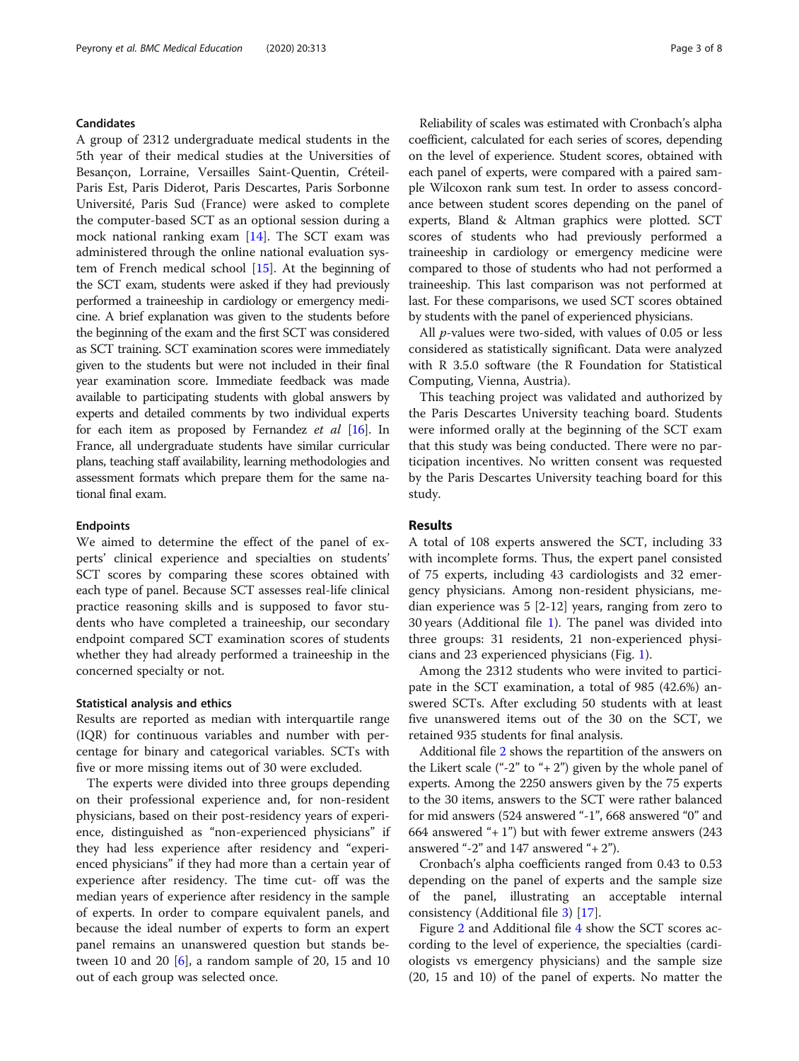# Candidates

A group of 2312 undergraduate medical students in the 5th year of their medical studies at the Universities of Besançon, Lorraine, Versailles Saint-Quentin, Créteil-Paris Est, Paris Diderot, Paris Descartes, Paris Sorbonne Université, Paris Sud (France) were asked to complete the computer-based SCT as an optional session during a mock national ranking exam [\[14](#page-7-0)]. The SCT exam was administered through the online national evaluation system of French medical school [[15\]](#page-7-0). At the beginning of the SCT exam, students were asked if they had previously performed a traineeship in cardiology or emergency medicine. A brief explanation was given to the students before the beginning of the exam and the first SCT was considered as SCT training. SCT examination scores were immediately given to the students but were not included in their final year examination score. Immediate feedback was made available to participating students with global answers by experts and detailed comments by two individual experts for each item as proposed by Fernandez et al [\[16\]](#page-7-0). In France, all undergraduate students have similar curricular plans, teaching staff availability, learning methodologies and assessment formats which prepare them for the same national final exam.

#### Endpoints

We aimed to determine the effect of the panel of experts' clinical experience and specialties on students' SCT scores by comparing these scores obtained with each type of panel. Because SCT assesses real-life clinical practice reasoning skills and is supposed to favor students who have completed a traineeship, our secondary endpoint compared SCT examination scores of students whether they had already performed a traineeship in the concerned specialty or not.

#### Statistical analysis and ethics

Results are reported as median with interquartile range (IQR) for continuous variables and number with percentage for binary and categorical variables. SCTs with five or more missing items out of 30 were excluded.

The experts were divided into three groups depending on their professional experience and, for non-resident physicians, based on their post-residency years of experience, distinguished as "non-experienced physicians" if they had less experience after residency and "experienced physicians" if they had more than a certain year of experience after residency. The time cut- off was the median years of experience after residency in the sample of experts. In order to compare equivalent panels, and because the ideal number of experts to form an expert panel remains an unanswered question but stands between 10 and 20  $[6]$  $[6]$ , a random sample of 20, 15 and 10 out of each group was selected once.

Reliability of scales was estimated with Cronbach's alpha coefficient, calculated for each series of scores, depending on the level of experience. Student scores, obtained with each panel of experts, were compared with a paired sample Wilcoxon rank sum test. In order to assess concordance between student scores depending on the panel of experts, Bland & Altman graphics were plotted. SCT scores of students who had previously performed a traineeship in cardiology or emergency medicine were compared to those of students who had not performed a traineeship. This last comparison was not performed at last. For these comparisons, we used SCT scores obtained by students with the panel of experienced physicians.

All  $p$ -values were two-sided, with values of 0.05 or less considered as statistically significant. Data were analyzed with R 3.5.0 software (the R Foundation for Statistical Computing, Vienna, Austria).

This teaching project was validated and authorized by the Paris Descartes University teaching board. Students were informed orally at the beginning of the SCT exam that this study was being conducted. There were no participation incentives. No written consent was requested by the Paris Descartes University teaching board for this study.

# Results

A total of 108 experts answered the SCT, including 33 with incomplete forms. Thus, the expert panel consisted of 75 experts, including 43 cardiologists and 32 emergency physicians. Among non-resident physicians, median experience was 5 [2-12] years, ranging from zero to 30 years (Additional file [1](#page-6-0)). The panel was divided into three groups: 31 residents, 21 non-experienced physicians and 23 experienced physicians (Fig. [1](#page-3-0)).

Among the 2312 students who were invited to participate in the SCT examination, a total of 985 (42.6%) answered SCTs. After excluding 50 students with at least five unanswered items out of the 30 on the SCT, we retained 935 students for final analysis.

Additional file [2](#page-6-0) shows the repartition of the answers on the Likert scale ("-2" to "+2") given by the whole panel of experts. Among the 2250 answers given by the 75 experts to the 30 items, answers to the SCT were rather balanced for mid answers (524 answered "-1", 668 answered "0" and 664 answered "+1") but with fewer extreme answers  $(243)$ answered "-2" and 147 answered "+  $2$ ").

Cronbach's alpha coefficients ranged from 0.43 to 0.53 depending on the panel of experts and the sample size of the panel, illustrating an acceptable internal consistency (Additional file [3](#page-6-0)) [\[17](#page-7-0)].

Figure [2](#page-3-0) and Additional file [4](#page-6-0) show the SCT scores according to the level of experience, the specialties (cardiologists vs emergency physicians) and the sample size (20, 15 and 10) of the panel of experts. No matter the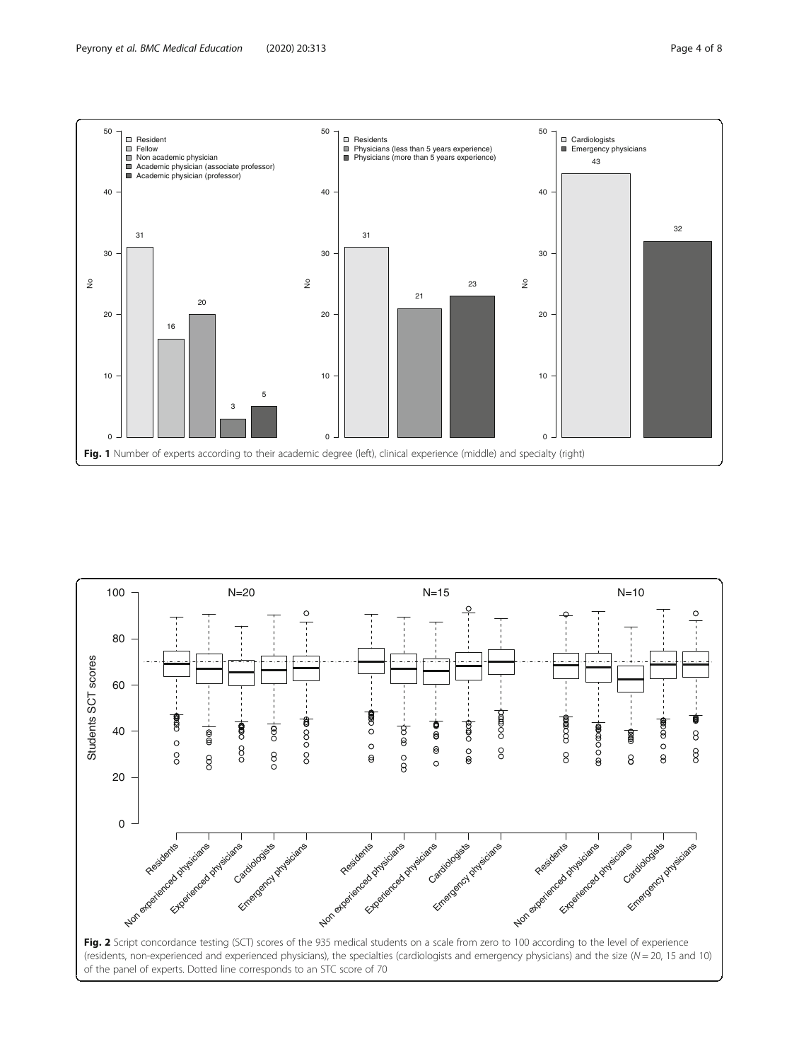<span id="page-3-0"></span>

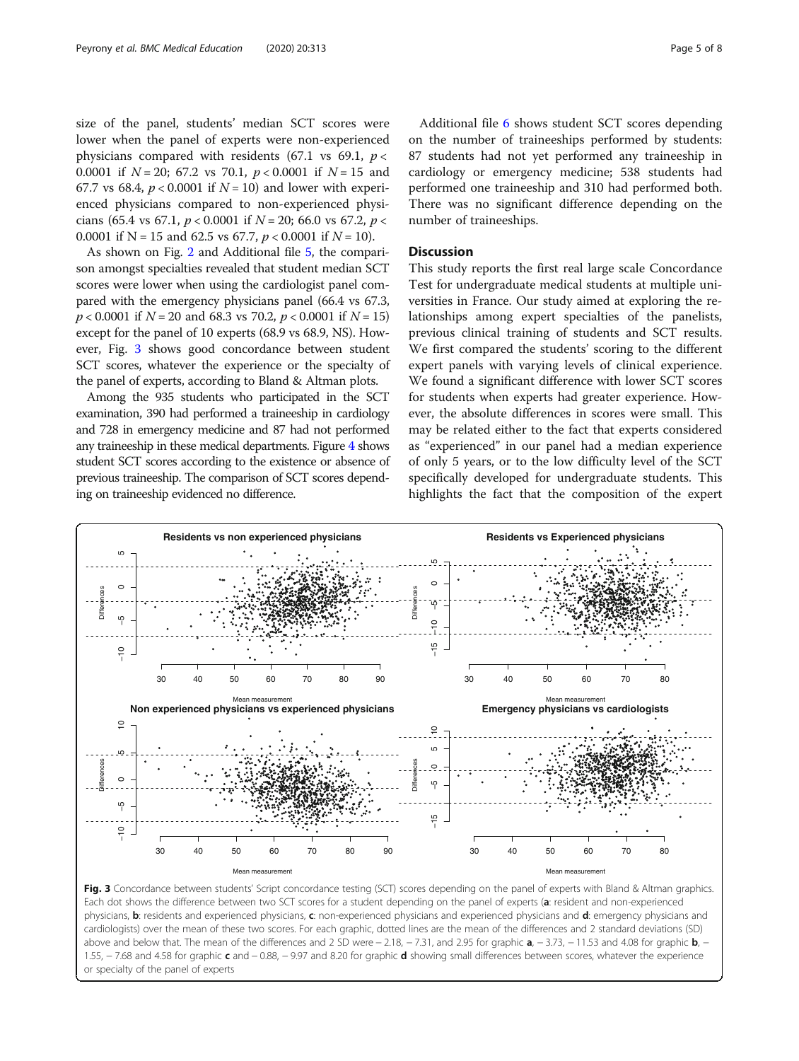size of the panel, students' median SCT scores were lower when the panel of experts were non-experienced physicians compared with residents (67.1 vs 69.1,  $p <$ 0.0001 if  $N = 20$ ; 67.2 vs 70.1,  $p < 0.0001$  if  $N = 15$  and 67.7 vs 68.4,  $p < 0.0001$  if  $N = 10$ ) and lower with experienced physicians compared to non-experienced physicians (65.4 vs 67.1,  $p < 0.0001$  if  $N = 20$ ; 66.0 vs 67.2,  $p <$ 0.0001 if N = 15 and 62.5 vs 67.7,  $p < 0.0001$  if  $N = 10$ ).

As shown on Fig. [2](#page-3-0) and Additional file [5](#page-6-0), the comparison amongst specialties revealed that student median SCT scores were lower when using the cardiologist panel compared with the emergency physicians panel (66.4 vs 67.3,  $p < 0.0001$  if  $N = 20$  and 68.3 vs 70.2,  $p < 0.0001$  if  $N = 15$ ) except for the panel of 10 experts (68.9 vs 68.9, NS). However, Fig. 3 shows good concordance between student SCT scores, whatever the experience or the specialty of the panel of experts, according to Bland & Altman plots.

Among the 935 students who participated in the SCT examination, 390 had performed a traineeship in cardiology and 728 in emergency medicine and 87 had not performed any traineeship in these medical departments. Figure [4](#page-5-0) shows student SCT scores according to the existence or absence of previous traineeship. The comparison of SCT scores depending on traineeship evidenced no difference.

Additional file [6](#page-6-0) shows student SCT scores depending on the number of traineeships performed by students: 87 students had not yet performed any traineeship in cardiology or emergency medicine; 538 students had performed one traineeship and 310 had performed both. There was no significant difference depending on the number of traineeships.

# **Discussion**

This study reports the first real large scale Concordance Test for undergraduate medical students at multiple universities in France. Our study aimed at exploring the relationships among expert specialties of the panelists, previous clinical training of students and SCT results. We first compared the students' scoring to the different expert panels with varying levels of clinical experience. We found a significant difference with lower SCT scores for students when experts had greater experience. However, the absolute differences in scores were small. This may be related either to the fact that experts considered as "experienced" in our panel had a median experience of only 5 years, or to the low difficulty level of the SCT specifically developed for undergraduate students. This highlights the fact that the composition of the expert



Fig. 3 Concordance between students' Script concordance testing (SCT) scores depending on the panel of experts with Bland & Altman graphics. Each dot shows the difference between two SCT scores for a student depending on the panel of experts (a: resident and non-experienced physicians, b: residents and experienced physicians, c: non-experienced physicians and experienced physicians and d: emergency physicians and cardiologists) over the mean of these two scores. For each graphic, dotted lines are the mean of the differences and 2 standard deviations (SD) above and below that. The mean of the differences and 2 SD were − 2.18, −7.31, and 2.95 for graphic  $\mathbf{a}$ , −3.73, −11.53 and 4.08 for graphic  $\mathbf{b}$ , − 1.55, -7.68 and 4.58 for graphic c and -0.88, -9.97 and 8.20 for graphic d showing small differences between scores, whatever the experience or specialty of the panel of experts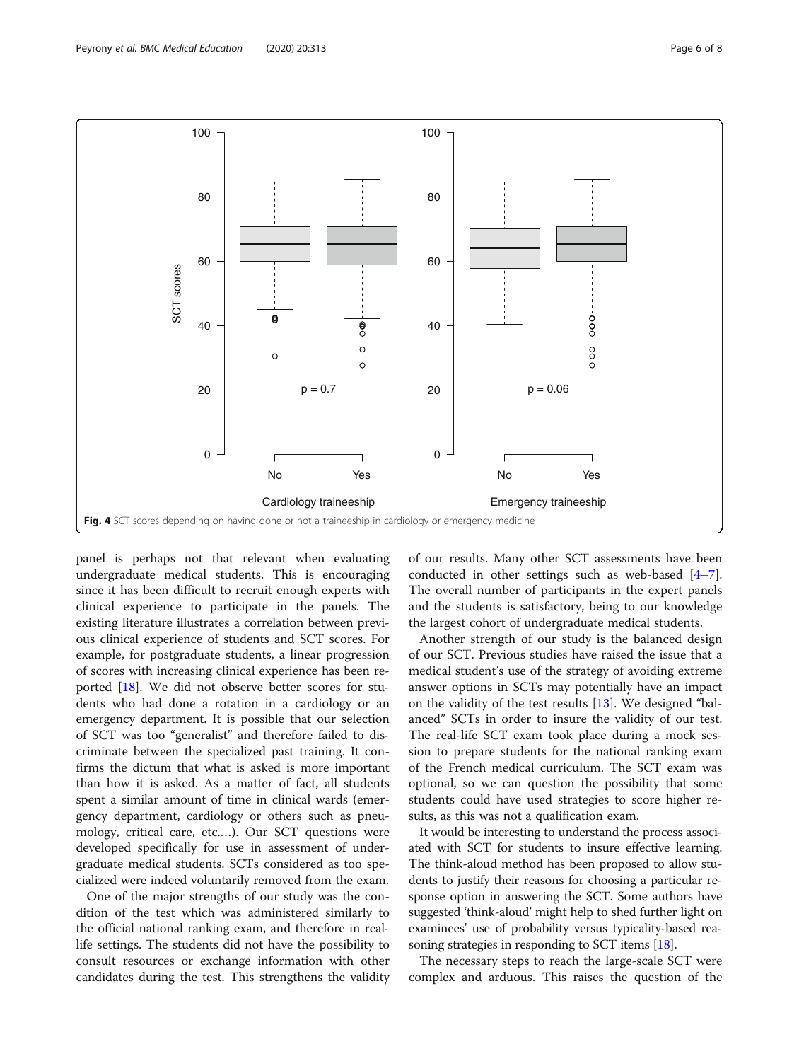<span id="page-5-0"></span>

panel is perhaps not that relevant when evaluating undergraduate medical students. This is encouraging since it has been difficult to recruit enough experts with clinical experience to participate in the panels. The existing literature illustrates a correlation between previous clinical experience of students and SCT scores. For example, for postgraduate students, a linear progression of scores with increasing clinical experience has been reported [\[18\]](#page-7-0). We did not observe better scores for students who had done a rotation in a cardiology or an emergency department. It is possible that our selection of SCT was too "generalist" and therefore failed to discriminate between the specialized past training. It confirms the dictum that what is asked is more important than how it is asked. As a matter of fact, all students spent a similar amount of time in clinical wards (emergency department, cardiology or others such as pneumology, critical care, etc.…). Our SCT questions were developed specifically for use in assessment of undergraduate medical students. SCTs considered as too specialized were indeed voluntarily removed from the exam.

One of the major strengths of our study was the condition of the test which was administered similarly to the official national ranking exam, and therefore in reallife settings. The students did not have the possibility to consult resources or exchange information with other candidates during the test. This strengthens the validity

of our results. Many other SCT assessments have been conducted in other settings such as web-based [\[4](#page-7-0)–[7](#page-7-0)]. The overall number of participants in the expert panels and the students is satisfactory, being to our knowledge the largest cohort of undergraduate medical students.

Another strength of our study is the balanced design of our SCT. Previous studies have raised the issue that a medical student's use of the strategy of avoiding extreme answer options in SCTs may potentially have an impact on the validity of the test results [[13\]](#page-7-0). We designed "balanced" SCTs in order to insure the validity of our test. The real-life SCT exam took place during a mock session to prepare students for the national ranking exam of the French medical curriculum. The SCT exam was optional, so we can question the possibility that some students could have used strategies to score higher results, as this was not a qualification exam.

It would be interesting to understand the process associated with SCT for students to insure effective learning. The think-aloud method has been proposed to allow students to justify their reasons for choosing a particular response option in answering the SCT. Some authors have suggested 'think-aloud' might help to shed further light on examinees' use of probability versus typicality-based rea-soning strategies in responding to SCT items [\[18\]](#page-7-0).

The necessary steps to reach the large-scale SCT were complex and arduous. This raises the question of the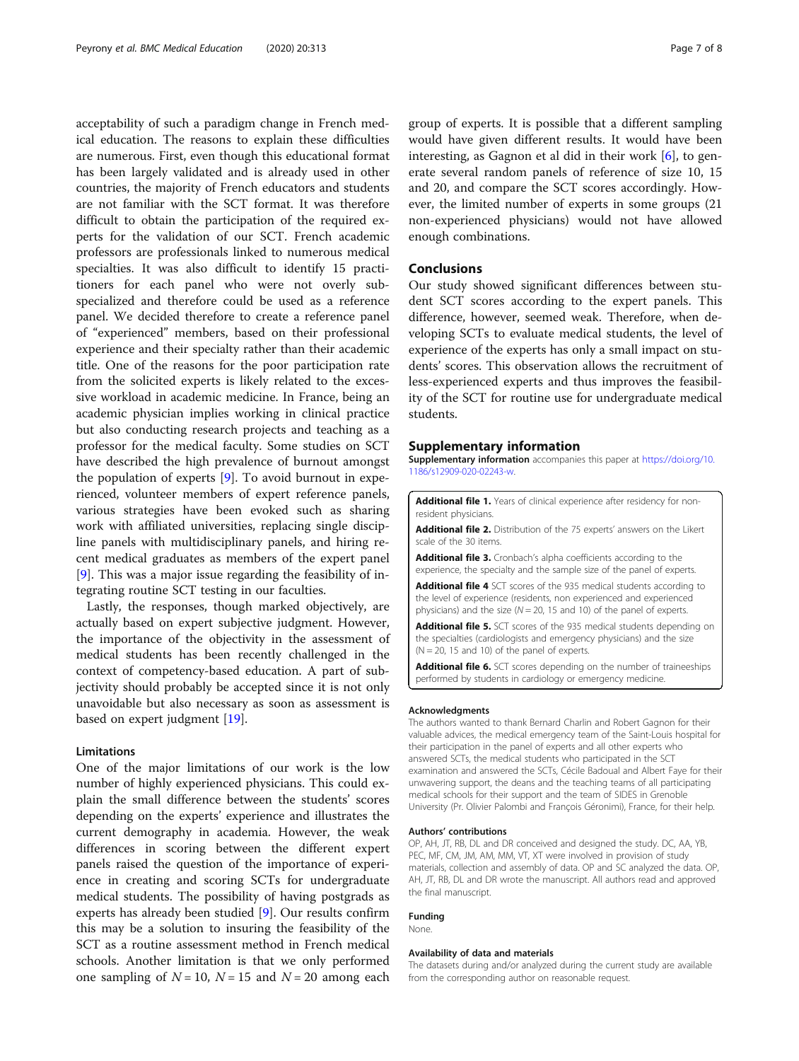<span id="page-6-0"></span>acceptability of such a paradigm change in French medical education. The reasons to explain these difficulties are numerous. First, even though this educational format has been largely validated and is already used in other countries, the majority of French educators and students are not familiar with the SCT format. It was therefore difficult to obtain the participation of the required experts for the validation of our SCT. French academic professors are professionals linked to numerous medical specialties. It was also difficult to identify 15 practitioners for each panel who were not overly subspecialized and therefore could be used as a reference panel. We decided therefore to create a reference panel of "experienced" members, based on their professional experience and their specialty rather than their academic title. One of the reasons for the poor participation rate from the solicited experts is likely related to the excessive workload in academic medicine. In France, being an academic physician implies working in clinical practice but also conducting research projects and teaching as a professor for the medical faculty. Some studies on SCT have described the high prevalence of burnout amongst the population of experts [\[9](#page-7-0)]. To avoid burnout in experienced, volunteer members of expert reference panels, various strategies have been evoked such as sharing work with affiliated universities, replacing single discipline panels with multidisciplinary panels, and hiring recent medical graduates as members of the expert panel [[9\]](#page-7-0). This was a major issue regarding the feasibility of integrating routine SCT testing in our faculties.

Lastly, the responses, though marked objectively, are actually based on expert subjective judgment. However, the importance of the objectivity in the assessment of medical students has been recently challenged in the context of competency-based education. A part of subjectivity should probably be accepted since it is not only unavoidable but also necessary as soon as assessment is based on expert judgment [[19](#page-7-0)].

### Limitations

One of the major limitations of our work is the low number of highly experienced physicians. This could explain the small difference between the students' scores depending on the experts' experience and illustrates the current demography in academia. However, the weak differences in scoring between the different expert panels raised the question of the importance of experience in creating and scoring SCTs for undergraduate medical students. The possibility of having postgrads as experts has already been studied [[9\]](#page-7-0). Our results confirm this may be a solution to insuring the feasibility of the SCT as a routine assessment method in French medical schools. Another limitation is that we only performed one sampling of  $N = 10$ ,  $N = 15$  and  $N = 20$  among each

group of experts. It is possible that a different sampling would have given different results. It would have been interesting, as Gagnon et al did in their work [[6\]](#page-7-0), to generate several random panels of reference of size 10, 15 and 20, and compare the SCT scores accordingly. However, the limited number of experts in some groups (21 non-experienced physicians) would not have allowed enough combinations.

# Conclusions

Our study showed significant differences between student SCT scores according to the expert panels. This difference, however, seemed weak. Therefore, when developing SCTs to evaluate medical students, the level of experience of the experts has only a small impact on students' scores. This observation allows the recruitment of less-experienced experts and thus improves the feasibility of the SCT for routine use for undergraduate medical students.

#### Supplementary information

Supplementary information accompanies this paper at [https://doi.org/10.](https://doi.org/10.1186/s12909-020-02243-w) [1186/s12909-020-02243-w](https://doi.org/10.1186/s12909-020-02243-w).

Additional file 1. Years of clinical experience after residency for nonresident physicians.

Additional file 2. Distribution of the 75 experts' answers on the Likert scale of the 30 items.

Additional file 3. Cronbach's alpha coefficients according to the experience, the specialty and the sample size of the panel of experts.

Additional file 4 SCT scores of the 935 medical students according to the level of experience (residents, non experienced and experienced physicians) and the size ( $N = 20$ , 15 and 10) of the panel of experts.

Additional file 5. SCT scores of the 935 medical students depending on the specialties (cardiologists and emergency physicians) and the size  $(N = 20, 15, and 10)$  of the panel of experts.

Additional file 6. SCT scores depending on the number of traineeships performed by students in cardiology or emergency medicine.

#### Acknowledgments

The authors wanted to thank Bernard Charlin and Robert Gagnon for their valuable advices, the medical emergency team of the Saint-Louis hospital for their participation in the panel of experts and all other experts who answered SCTs, the medical students who participated in the SCT examination and answered the SCTs, Cécile Badoual and Albert Faye for their unwavering support, the deans and the teaching teams of all participating medical schools for their support and the team of SIDES in Grenoble University (Pr. Olivier Palombi and François Géronimi), France, for their help.

#### Authors' contributions

OP, AH, JT, RB, DL and DR conceived and designed the study. DC, AA, YB, PEC, MF, CM, JM, AM, MM, VT, XT were involved in provision of study materials, collection and assembly of data. OP and SC analyzed the data. OP, AH, JT, RB, DL and DR wrote the manuscript. All authors read and approved the final manuscript.

#### Funding None.

# Availability of data and materials

The datasets during and/or analyzed during the current study are available from the corresponding author on reasonable request.